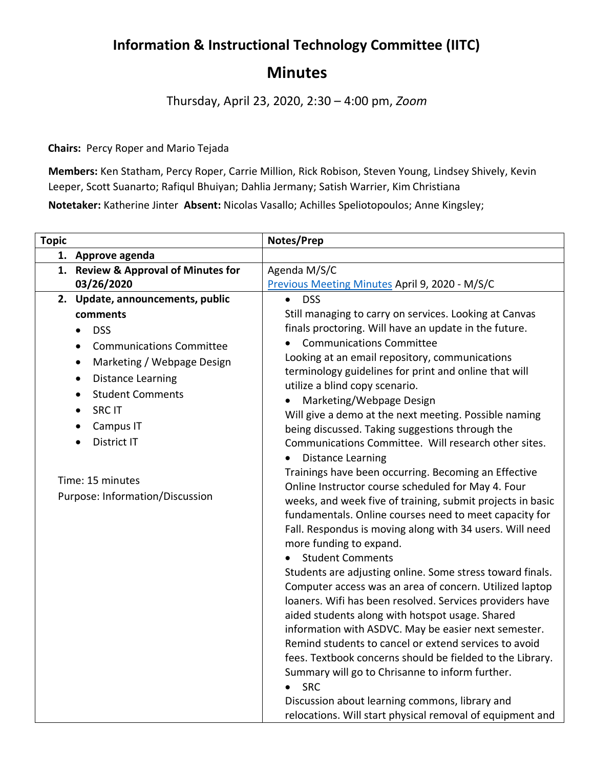## **Information & Instructional Technology Committee (IITC)**

## **Minutes**

Thursday, April 23, 2020, 2:30 – 4:00 pm, *Zoom*

**Chairs:** Percy Roper and Mario Tejada

**Members:** Ken Statham, Percy Roper, Carrie Million, Rick Robison, Steven Young, Lindsey Shively, Kevin Leeper, Scott Suanarto; Rafiqul Bhuiyan; Dahlia Jermany; Satish Warrier, Kim Christiana **Notetaker:** Katherine Jinter **Absent:** Nicolas Vasallo; Achilles Speliotopoulos; Anne Kingsley;

| <b>Topic</b> |                                              | Notes/Prep                                                                                                           |
|--------------|----------------------------------------------|----------------------------------------------------------------------------------------------------------------------|
|              | 1. Approve agenda                            |                                                                                                                      |
|              | 1. Review & Approval of Minutes for          | Agenda M/S/C                                                                                                         |
|              | 03/26/2020                                   | Previous Meeting Minutes April 9, 2020 - M/S/C                                                                       |
|              | 2. Update, announcements, public             | <b>DSS</b>                                                                                                           |
|              | comments                                     | Still managing to carry on services. Looking at Canvas                                                               |
|              | <b>DSS</b><br>$\bullet$                      | finals proctoring. Will have an update in the future.                                                                |
|              | <b>Communications Committee</b><br>$\bullet$ | <b>Communications Committee</b>                                                                                      |
|              | Marketing / Webpage Design<br>$\bullet$      | Looking at an email repository, communications                                                                       |
|              | <b>Distance Learning</b><br>$\bullet$        | terminology guidelines for print and online that will                                                                |
|              | <b>Student Comments</b><br>$\bullet$         | utilize a blind copy scenario.                                                                                       |
|              | <b>SRC IT</b>                                | Marketing/Webpage Design                                                                                             |
|              |                                              | Will give a demo at the next meeting. Possible naming                                                                |
|              | Campus IT                                    | being discussed. Taking suggestions through the                                                                      |
|              | District IT                                  | Communications Committee. Will research other sites.                                                                 |
|              |                                              | <b>Distance Learning</b>                                                                                             |
|              | Time: 15 minutes                             | Trainings have been occurring. Becoming an Effective                                                                 |
|              | Purpose: Information/Discussion              | Online Instructor course scheduled for May 4. Four                                                                   |
|              |                                              | weeks, and week five of training, submit projects in basic<br>fundamentals. Online courses need to meet capacity for |
|              |                                              | Fall. Respondus is moving along with 34 users. Will need                                                             |
|              |                                              | more funding to expand.                                                                                              |
|              |                                              | <b>Student Comments</b>                                                                                              |
|              |                                              | Students are adjusting online. Some stress toward finals.                                                            |
|              |                                              | Computer access was an area of concern. Utilized laptop                                                              |
|              |                                              | loaners. Wifi has been resolved. Services providers have                                                             |
|              |                                              | aided students along with hotspot usage. Shared                                                                      |
|              |                                              | information with ASDVC. May be easier next semester.                                                                 |
|              |                                              | Remind students to cancel or extend services to avoid                                                                |
|              |                                              | fees. Textbook concerns should be fielded to the Library.                                                            |
|              |                                              | Summary will go to Chrisanne to inform further.                                                                      |
|              |                                              | <b>SRC</b>                                                                                                           |
|              |                                              | Discussion about learning commons, library and                                                                       |
|              |                                              | relocations. Will start physical removal of equipment and                                                            |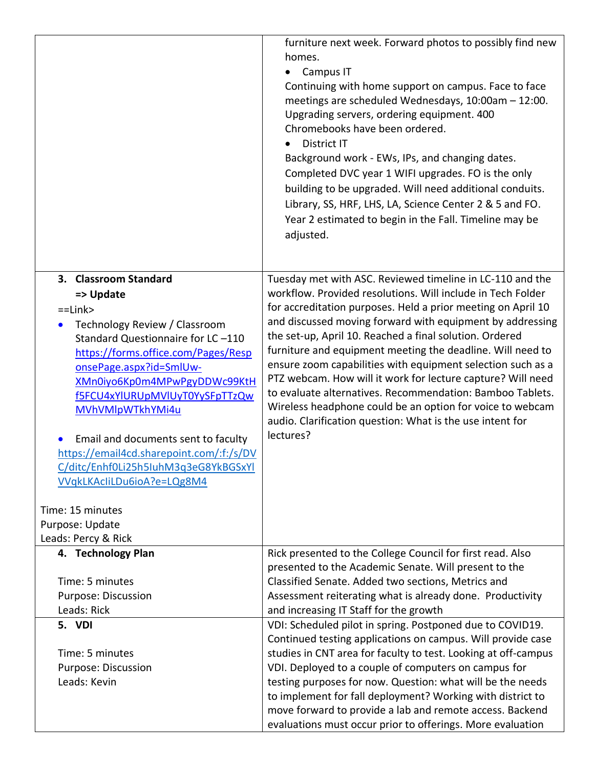|                                                                                                                                                                                                                                                                                                                                                                                                                                                                                         | furniture next week. Forward photos to possibly find new<br>homes.<br>Campus IT<br>Continuing with home support on campus. Face to face<br>meetings are scheduled Wednesdays, 10:00am - 12:00.<br>Upgrading servers, ordering equipment. 400<br>Chromebooks have been ordered.<br><b>District IT</b><br>Background work - EWs, IPs, and changing dates.<br>Completed DVC year 1 WIFI upgrades. FO is the only                                                                                                                                                                                                                                                                                                    |
|-----------------------------------------------------------------------------------------------------------------------------------------------------------------------------------------------------------------------------------------------------------------------------------------------------------------------------------------------------------------------------------------------------------------------------------------------------------------------------------------|------------------------------------------------------------------------------------------------------------------------------------------------------------------------------------------------------------------------------------------------------------------------------------------------------------------------------------------------------------------------------------------------------------------------------------------------------------------------------------------------------------------------------------------------------------------------------------------------------------------------------------------------------------------------------------------------------------------|
|                                                                                                                                                                                                                                                                                                                                                                                                                                                                                         | building to be upgraded. Will need additional conduits.<br>Library, SS, HRF, LHS, LA, Science Center 2 & 5 and FO.<br>Year 2 estimated to begin in the Fall. Timeline may be<br>adjusted.                                                                                                                                                                                                                                                                                                                                                                                                                                                                                                                        |
| 3. Classroom Standard<br>=> Update<br>$=$ Link $>$<br>Technology Review / Classroom<br>$\bullet$<br>Standard Questionnaire for LC-110<br>https://forms.office.com/Pages/Resp<br>onsePage.aspx?id=SmlUw-<br>XMn0iyo6Kp0m4MPwPgyDDWc99KtH<br>f5FCU4xYlURUpMVlUyT0YySFpTTzQw<br>MVhVMlpWTkhYMi4u<br>Email and documents sent to faculty<br>$\bullet$<br>https://email4cd.sharepoint.com/:f:/s/DV<br>C/ditc/Enhf0Li25h5IuhM3g3eG8YkBGSxYl<br>VVqkLKAcliLDu6ioA?e=LQg8M4<br>Time: 15 minutes | Tuesday met with ASC. Reviewed timeline in LC-110 and the<br>workflow. Provided resolutions. Will include in Tech Folder<br>for accreditation purposes. Held a prior meeting on April 10<br>and discussed moving forward with equipment by addressing<br>the set-up, April 10. Reached a final solution. Ordered<br>furniture and equipment meeting the deadline. Will need to<br>ensure zoom capabilities with equipment selection such as a<br>PTZ webcam. How will it work for lecture capture? Will need<br>to evaluate alternatives. Recommendation: Bamboo Tablets.<br>Wireless headphone could be an option for voice to webcam<br>audio. Clarification question: What is the use intent for<br>lectures? |
| Purpose: Update<br>Leads: Percy & Rick                                                                                                                                                                                                                                                                                                                                                                                                                                                  |                                                                                                                                                                                                                                                                                                                                                                                                                                                                                                                                                                                                                                                                                                                  |
| 4. Technology Plan<br>Time: 5 minutes<br>Purpose: Discussion                                                                                                                                                                                                                                                                                                                                                                                                                            | Rick presented to the College Council for first read. Also<br>presented to the Academic Senate. Will present to the<br>Classified Senate. Added two sections, Metrics and<br>Assessment reiterating what is already done. Productivity                                                                                                                                                                                                                                                                                                                                                                                                                                                                           |
| Leads: Rick                                                                                                                                                                                                                                                                                                                                                                                                                                                                             | and increasing IT Staff for the growth                                                                                                                                                                                                                                                                                                                                                                                                                                                                                                                                                                                                                                                                           |
| 5. VDI                                                                                                                                                                                                                                                                                                                                                                                                                                                                                  | VDI: Scheduled pilot in spring. Postponed due to COVID19.                                                                                                                                                                                                                                                                                                                                                                                                                                                                                                                                                                                                                                                        |
|                                                                                                                                                                                                                                                                                                                                                                                                                                                                                         | Continued testing applications on campus. Will provide case                                                                                                                                                                                                                                                                                                                                                                                                                                                                                                                                                                                                                                                      |
| Time: 5 minutes                                                                                                                                                                                                                                                                                                                                                                                                                                                                         | studies in CNT area for faculty to test. Looking at off-campus                                                                                                                                                                                                                                                                                                                                                                                                                                                                                                                                                                                                                                                   |
| Purpose: Discussion                                                                                                                                                                                                                                                                                                                                                                                                                                                                     | VDI. Deployed to a couple of computers on campus for                                                                                                                                                                                                                                                                                                                                                                                                                                                                                                                                                                                                                                                             |
| Leads: Kevin                                                                                                                                                                                                                                                                                                                                                                                                                                                                            | testing purposes for now. Question: what will be the needs                                                                                                                                                                                                                                                                                                                                                                                                                                                                                                                                                                                                                                                       |
|                                                                                                                                                                                                                                                                                                                                                                                                                                                                                         | to implement for fall deployment? Working with district to                                                                                                                                                                                                                                                                                                                                                                                                                                                                                                                                                                                                                                                       |
|                                                                                                                                                                                                                                                                                                                                                                                                                                                                                         | move forward to provide a lab and remote access. Backend                                                                                                                                                                                                                                                                                                                                                                                                                                                                                                                                                                                                                                                         |
|                                                                                                                                                                                                                                                                                                                                                                                                                                                                                         | evaluations must occur prior to offerings. More evaluation                                                                                                                                                                                                                                                                                                                                                                                                                                                                                                                                                                                                                                                       |